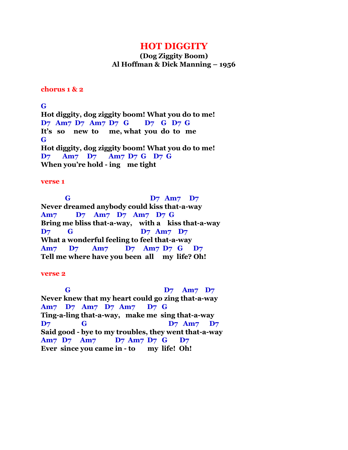# **HOT DIGGITY**

## **(Dog Ziggity Boom) Al Hoffman & Dick Manning – 1956**

## **chorus 1 & 2**

**G Hot diggity, dog ziggity boom! What you do to me! D7 Am7 D7 Am7 D7 G D7 G D7 G It's so new to me, what you do to me G Hot diggity, dog ziggity boom! What you do to me! D7 Am7 D7 Am7 D7 G D7 G When you're hold - ing me tight**

#### **verse 1**

 **G D7 Am7 D7 Never dreamed anybody could kiss that-a-way Am7 D7 Am7 D7 Am7 D7 G Bring me bliss that-a-way, with a kiss that-a-way D7 G D7 Am7 D7 What a wonderful feeling to feel that-a-way Am7 D7 Am7 D7 Am7 D7 G D7 Tell me where have you been all my life? Oh!**

#### **verse 2**

 **G D7 Am7 D7 Never knew that my heart could go zing that-a-way Am7 D7 Am7 D7 Am7 D7 G Ting-a-ling that-a-way, make me sing that-a-way D7 G D7 Am7 D7 Said good - bye to my troubles, they went that-a-way Am7 D7 Am7 D7 Am7 D7 G D7 Ever since you came in - to my life! Oh!**